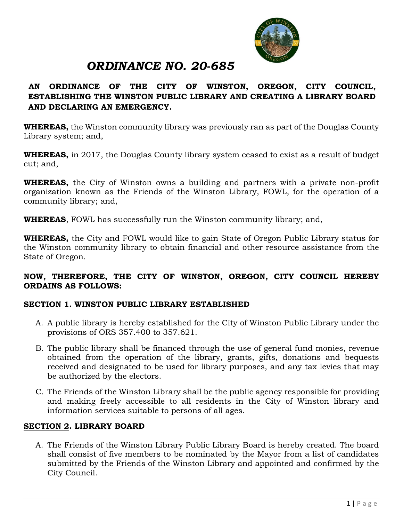

# *ORDINANCE NO. 20-685*

# **AN ORDINANCE OF THE CITY OF WINSTON, OREGON, CITY COUNCIL, ESTABLISHING THE WINSTON PUBLIC LIBRARY AND CREATING A LIBRARY BOARD AND DECLARING AN EMERGENCY.**

**WHEREAS,** the Winston community library was previously ran as part of the Douglas County Library system; and,

**WHEREAS,** in 2017, the Douglas County library system ceased to exist as a result of budget cut; and,

**WHEREAS,** the City of Winston owns a building and partners with a private non-profit organization known as the Friends of the Winston Library, FOWL, for the operation of a community library; and,

**WHEREAS**, FOWL has successfully run the Winston community library; and,

**WHEREAS,** the City and FOWL would like to gain State of Oregon Public Library status for the Winston community library to obtain financial and other resource assistance from the State of Oregon.

## **NOW, THEREFORE, THE CITY OF WINSTON, OREGON, CITY COUNCIL HEREBY ORDAINS AS FOLLOWS:**

# **SECTION 1. WINSTON PUBLIC LIBRARY ESTABLISHED**

- A. A public library is hereby established for the City of Winston Public Library under the provisions of ORS 357.400 to 357.621.
- B. The public library shall be financed through the use of general fund monies, revenue obtained from the operation of the library, grants, gifts, donations and bequests received and designated to be used for library purposes, and any tax levies that may be authorized by the electors.
- C. The Friends of the Winston Library shall be the public agency responsible for providing and making freely accessible to all residents in the City of Winston library and information services suitable to persons of all ages.

# **SECTION 2. LIBRARY BOARD**

A. The Friends of the Winston Library Public Library Board is hereby created. The board shall consist of five members to be nominated by the Mayor from a list of candidates submitted by the Friends of the Winston Library and appointed and confirmed by the City Council.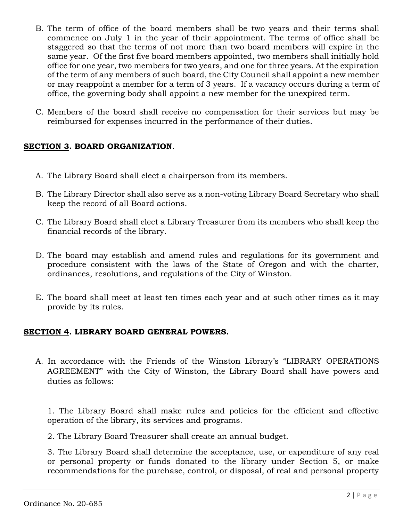- B. The term of office of the board members shall be two years and their terms shall commence on July 1 in the year of their appointment. The terms of office shall be staggered so that the terms of not more than two board members will expire in the same year. Of the first five board members appointed, two members shall initially hold office for one year, two members for two years, and one for three years. At the expiration of the term of any members of such board, the City Council shall appoint a new member or may reappoint a member for a term of 3 years. If a vacancy occurs during a term of office, the governing body shall appoint a new member for the unexpired term.
- C. Members of the board shall receive no compensation for their services but may be reimbursed for expenses incurred in the performance of their duties.

## **SECTION 3. BOARD ORGANIZATION**.

- A. The Library Board shall elect a chairperson from its members.
- B. The Library Director shall also serve as a non-voting Library Board Secretary who shall keep the record of all Board actions.
- C. The Library Board shall elect a Library Treasurer from its members who shall keep the financial records of the library.
- D. The board may establish and amend rules and regulations for its government and procedure consistent with the laws of the State of Oregon and with the charter, ordinances, resolutions, and regulations of the City of Winston.
- E. The board shall meet at least ten times each year and at such other times as it may provide by its rules.

#### **SECTION 4. LIBRARY BOARD GENERAL POWERS.**

A. In accordance with the Friends of the Winston Library's "LIBRARY OPERATIONS AGREEMENT" with the City of Winston, the Library Board shall have powers and duties as follows:

1. The Library Board shall make rules and policies for the efficient and effective operation of the library, its services and programs.

2. The Library Board Treasurer shall create an annual budget.

3. The Library Board shall determine the acceptance, use, or expenditure of any real or personal property or funds donated to the library under Section 5, or make recommendations for the purchase, control, or disposal, of real and personal property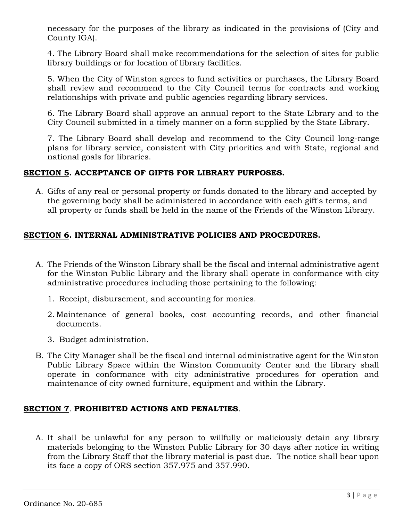necessary for the purposes of the library as indicated in the provisions of (City and County IGA).

4. The Library Board shall make recommendations for the selection of sites for public library buildings or for location of library facilities.

5. When the City of Winston agrees to fund activities or purchases, the Library Board shall review and recommend to the City Council terms for contracts and working relationships with private and public agencies regarding library services.

6. The Library Board shall approve an annual report to the State Library and to the City Council submitted in a timely manner on a form supplied by the State Library.

7. The Library Board shall develop and recommend to the City Council long-range plans for library service, consistent with City priorities and with State, regional and national goals for libraries.

## **SECTION 5. ACCEPTANCE OF GIFTS FOR LIBRARY PURPOSES.**

A. Gifts of any real or personal property or funds donated to the library and accepted by the governing body shall be administered in accordance with each gift's terms, and all property or funds shall be held in the name of the Friends of the Winston Library.

# **SECTION 6. INTERNAL ADMINISTRATIVE POLICIES AND PROCEDURES.**

- A. The Friends of the Winston Library shall be the fiscal and internal administrative agent for the Winston Public Library and the library shall operate in conformance with city administrative procedures including those pertaining to the following:
	- 1. Receipt, disbursement, and accounting for monies.
	- 2. Maintenance of general books, cost accounting records, and other financial documents.
	- 3. Budget administration.
- B. The City Manager shall be the fiscal and internal administrative agent for the Winston Public Library Space within the Winston Community Center and the library shall operate in conformance with city administrative procedures for operation and maintenance of city owned furniture, equipment and within the Library.

# **SECTION 7**. **PROHIBITED ACTIONS AND PENALTIES**.

A. It shall be unlawful for any person to willfully or maliciously detain any library materials belonging to the Winston Public Library for 30 days after notice in writing from the Library Staff that the library material is past due. The notice shall bear upon its face a copy of ORS section 357.975 and 357.990.